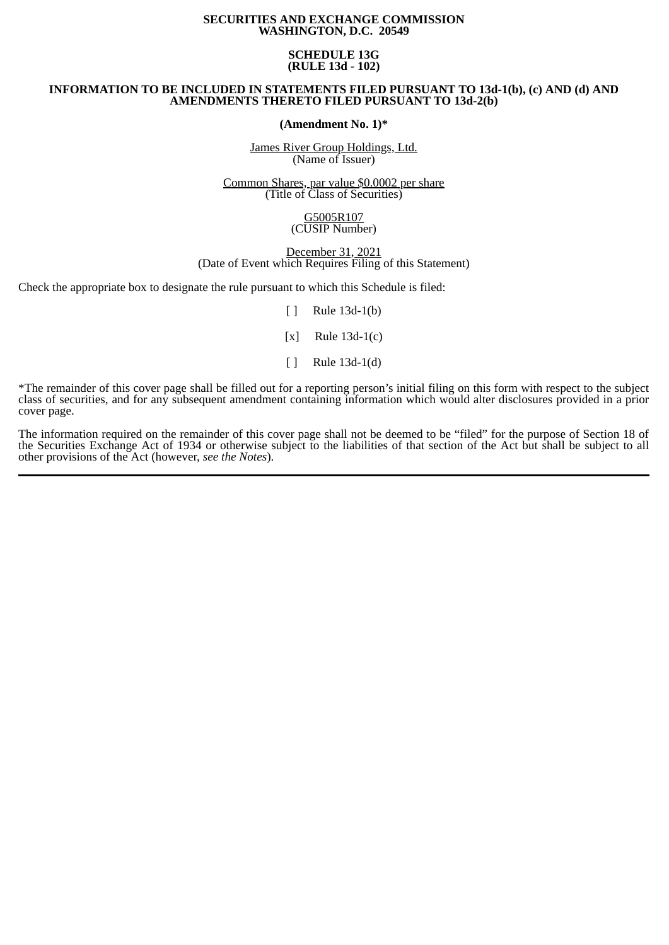## **SECURITIES AND EXCHANGE COMMISSION WASHINGTON, D.C. 20549**

# **SCHEDULE 13G (RULE 13d - 102)**

# **INFORMATION TO BE INCLUDED IN STATEMENTS FILED PURSUANT TO 13d-1(b), (c) AND (d) AND AMENDMENTS THERETO FILED PURSUANT TO 13d-2(b)**

**(Amendment No. 1)\***

James River Group Holdings, Ltd. (Name of Issuer)

Common Shares, par value \$0.0002 per share (Title of Class of Securities)

## G5005R107 (CUSIP Number)

December 31, 2021 (Date of Event which Requires Filing of this Statement)

Check the appropriate box to designate the rule pursuant to which this Schedule is filed:

 $\lceil \rceil$  Rule 13d-1(b)

[x] Rule 13d-1(c)

[ ] Rule 13d-1(d)

\*The remainder of this cover page shall be filled out for a reporting person's initial filing on this form with respect to the subject class of securities, and for any subsequent amendment containing information which would alter disclosures provided in a prior cover page.

The information required on the remainder of this cover page shall not be deemed to be "filed" for the purpose of Section 18 of the Securities Exchange Act of 1934 or otherwise subject to the liabilities of that section of the Act but shall be subject to all other provisions of the Act (however, *see the Notes*).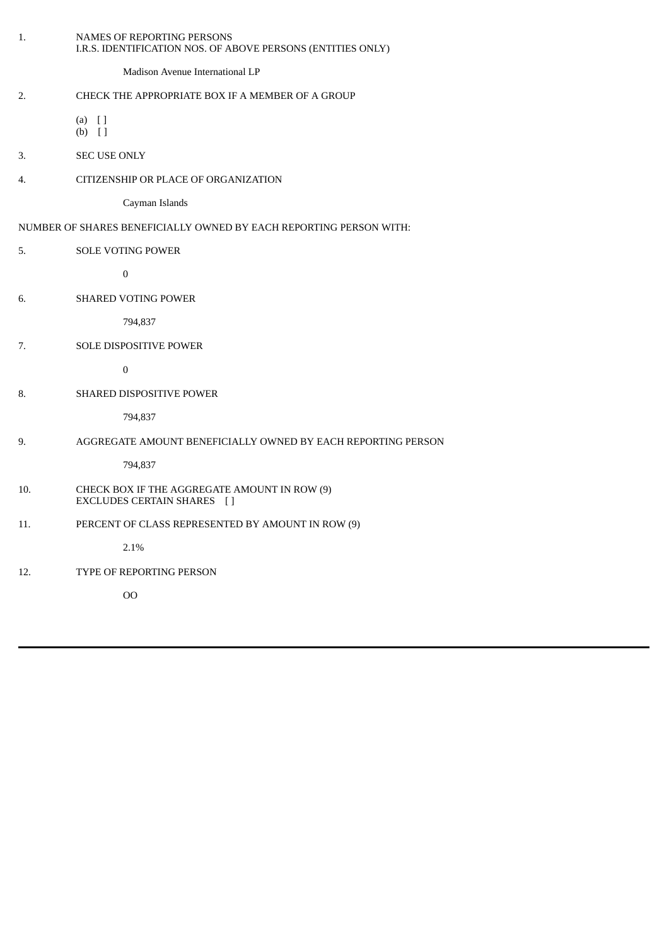| 1.  | NAMES OF REPORTING PERSONS<br>I.R.S. IDENTIFICATION NOS. OF ABOVE PERSONS (ENTITIES ONLY) |
|-----|-------------------------------------------------------------------------------------------|
|     | Madison Avenue International LP                                                           |
| 2.  | CHECK THE APPROPRIATE BOX IF A MEMBER OF A GROUP                                          |
|     | $(a)$ []<br>$(b)$ []                                                                      |
| 3.  | SEC USE ONLY                                                                              |
| 4.  | CITIZENSHIP OR PLACE OF ORGANIZATION                                                      |
|     | Cayman Islands                                                                            |
|     | NUMBER OF SHARES BENEFICIALLY OWNED BY EACH REPORTING PERSON WITH:                        |
| 5.  | <b>SOLE VOTING POWER</b>                                                                  |
|     | $\pmb{0}$                                                                                 |
| 6.  | SHARED VOTING POWER                                                                       |
|     | 794,837                                                                                   |
| 7.  | SOLE DISPOSITIVE POWER                                                                    |
|     | $\pmb{0}$                                                                                 |
| 8.  | SHARED DISPOSITIVE POWER                                                                  |
|     | 794,837                                                                                   |
| 9.  | AGGREGATE AMOUNT BENEFICIALLY OWNED BY EACH REPORTING PERSON                              |
|     | 794,837                                                                                   |
| 10. | CHECK BOX IF THE AGGREGATE AMOUNT IN ROW (9)<br>EXCLUDES CERTAIN SHARES []                |
| 11. | PERCENT OF CLASS REPRESENTED BY AMOUNT IN ROW (9)                                         |
|     | 2.1%                                                                                      |
| 12. | TYPE OF REPORTING PERSON                                                                  |
|     | O <sub>O</sub>                                                                            |
|     |                                                                                           |
|     |                                                                                           |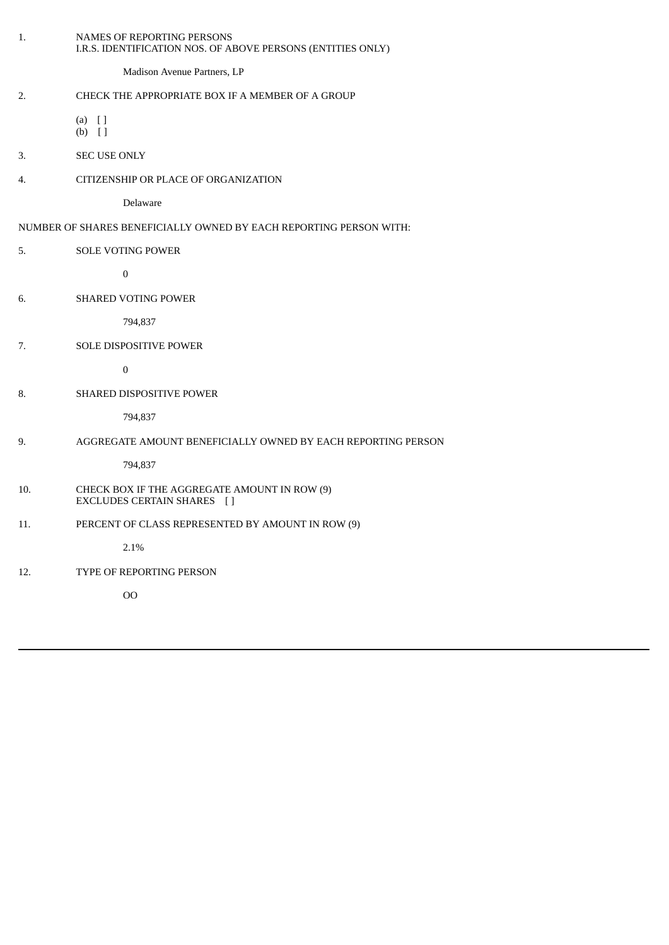| 1.  | NAMES OF REPORTING PERSONS<br>I.R.S. IDENTIFICATION NOS. OF ABOVE PERSONS (ENTITIES ONLY) |
|-----|-------------------------------------------------------------------------------------------|
|     | Madison Avenue Partners, LP                                                               |
| 2.  | CHECK THE APPROPRIATE BOX IF A MEMBER OF A GROUP                                          |
|     | $(a)$ []<br>$(b)$ []                                                                      |
| 3.  | <b>SEC USE ONLY</b>                                                                       |
| 4.  | CITIZENSHIP OR PLACE OF ORGANIZATION                                                      |
|     | Delaware                                                                                  |
|     | NUMBER OF SHARES BENEFICIALLY OWNED BY EACH REPORTING PERSON WITH:                        |
| 5.  | SOLE VOTING POWER                                                                         |
|     | $\pmb{0}$                                                                                 |
| 6.  | <b>SHARED VOTING POWER</b>                                                                |
|     | 794,837                                                                                   |
| 7.  | SOLE DISPOSITIVE POWER                                                                    |
|     | $\pmb{0}$                                                                                 |
| 8.  | SHARED DISPOSITIVE POWER                                                                  |
|     | 794,837                                                                                   |
| 9.  | AGGREGATE AMOUNT BENEFICIALLY OWNED BY EACH REPORTING PERSON                              |
|     | 794,837                                                                                   |
| 10. | CHECK BOX IF THE AGGREGATE AMOUNT IN ROW (9)<br>EXCLUDES CERTAIN SHARES []                |
| 11. | PERCENT OF CLASS REPRESENTED BY AMOUNT IN ROW (9)                                         |
|     | 2.1%                                                                                      |
| 12. | TYPE OF REPORTING PERSON                                                                  |
|     | <b>OO</b>                                                                                 |
|     |                                                                                           |
|     |                                                                                           |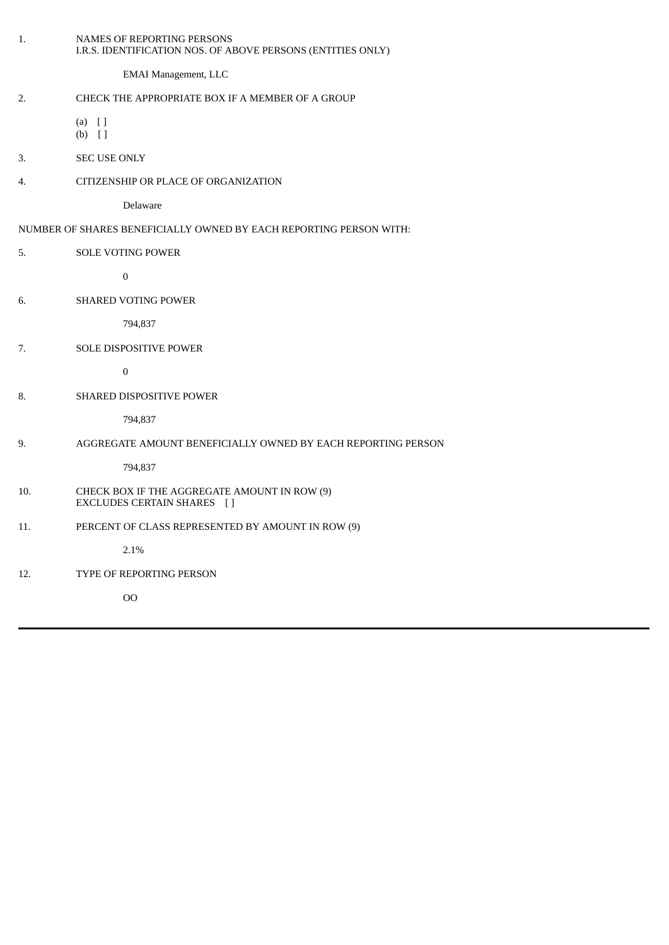| 1.  | NAMES OF REPORTING PERSONS<br>I.R.S. IDENTIFICATION NOS. OF ABOVE PERSONS (ENTITIES ONLY) |
|-----|-------------------------------------------------------------------------------------------|
|     | <b>EMAI Management, LLC</b>                                                               |
| 2.  | CHECK THE APPROPRIATE BOX IF A MEMBER OF A GROUP                                          |
|     | $(a)$ []<br>$(b)$ []                                                                      |
| 3.  | SEC USE ONLY                                                                              |
| 4.  | CITIZENSHIP OR PLACE OF ORGANIZATION                                                      |
|     | Delaware                                                                                  |
|     | NUMBER OF SHARES BENEFICIALLY OWNED BY EACH REPORTING PERSON WITH:                        |
| 5.  | <b>SOLE VOTING POWER</b>                                                                  |
|     | $\boldsymbol{0}$                                                                          |
| 6.  | <b>SHARED VOTING POWER</b>                                                                |
|     | 794,837                                                                                   |
| 7.  | <b>SOLE DISPOSITIVE POWER</b>                                                             |
|     | $\boldsymbol{0}$                                                                          |
| 8.  | SHARED DISPOSITIVE POWER                                                                  |
|     | 794,837                                                                                   |
| 9.  | AGGREGATE AMOUNT BENEFICIALLY OWNED BY EACH REPORTING PERSON                              |
|     | 794,837                                                                                   |
| 10. | CHECK BOX IF THE AGGREGATE AMOUNT IN ROW (9)<br>EXCLUDES CERTAIN SHARES []                |
| 11. | PERCENT OF CLASS REPRESENTED BY AMOUNT IN ROW (9)                                         |
|     | 2.1%                                                                                      |
| 12. | TYPE OF REPORTING PERSON                                                                  |
|     | 00                                                                                        |
|     |                                                                                           |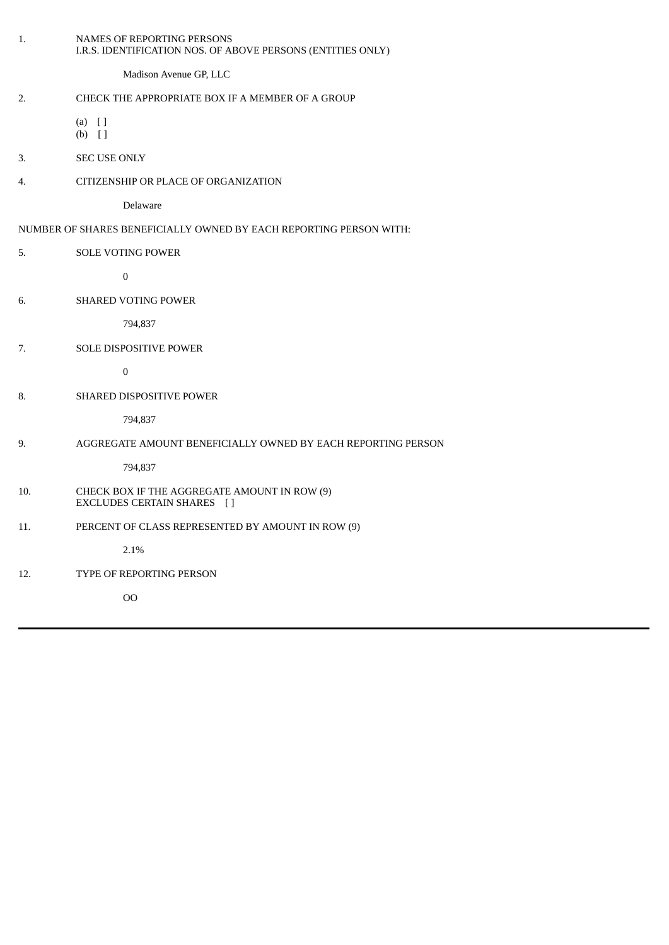| 1.  | NAMES OF REPORTING PERSONS<br>I.R.S. IDENTIFICATION NOS. OF ABOVE PERSONS (ENTITIES ONLY) |
|-----|-------------------------------------------------------------------------------------------|
|     | Madison Avenue GP, LLC                                                                    |
| 2.  | CHECK THE APPROPRIATE BOX IF A MEMBER OF A GROUP                                          |
|     | $(a)$ []<br>$(b)$ []                                                                      |
| 3.  | SEC USE ONLY                                                                              |
| 4.  | CITIZENSHIP OR PLACE OF ORGANIZATION                                                      |
|     | Delaware                                                                                  |
|     | NUMBER OF SHARES BENEFICIALLY OWNED BY EACH REPORTING PERSON WITH:                        |
| 5.  | SOLE VOTING POWER                                                                         |
|     | $\boldsymbol{0}$                                                                          |
| 6.  | SHARED VOTING POWER                                                                       |
|     | 794,837                                                                                   |
| 7.  | SOLE DISPOSITIVE POWER                                                                    |
|     | $\pmb{0}$                                                                                 |
| 8.  | SHARED DISPOSITIVE POWER                                                                  |
|     | 794,837                                                                                   |
| 9.  | AGGREGATE AMOUNT BENEFICIALLY OWNED BY EACH REPORTING PERSON                              |
|     | 794,837                                                                                   |
| 10. | CHECK BOX IF THE AGGREGATE AMOUNT IN ROW (9)<br>EXCLUDES CERTAIN SHARES []                |
| 11. | PERCENT OF CLASS REPRESENTED BY AMOUNT IN ROW (9)                                         |
|     | 2.1%                                                                                      |
| 12. | TYPE OF REPORTING PERSON                                                                  |
|     | O <sub>O</sub>                                                                            |
|     |                                                                                           |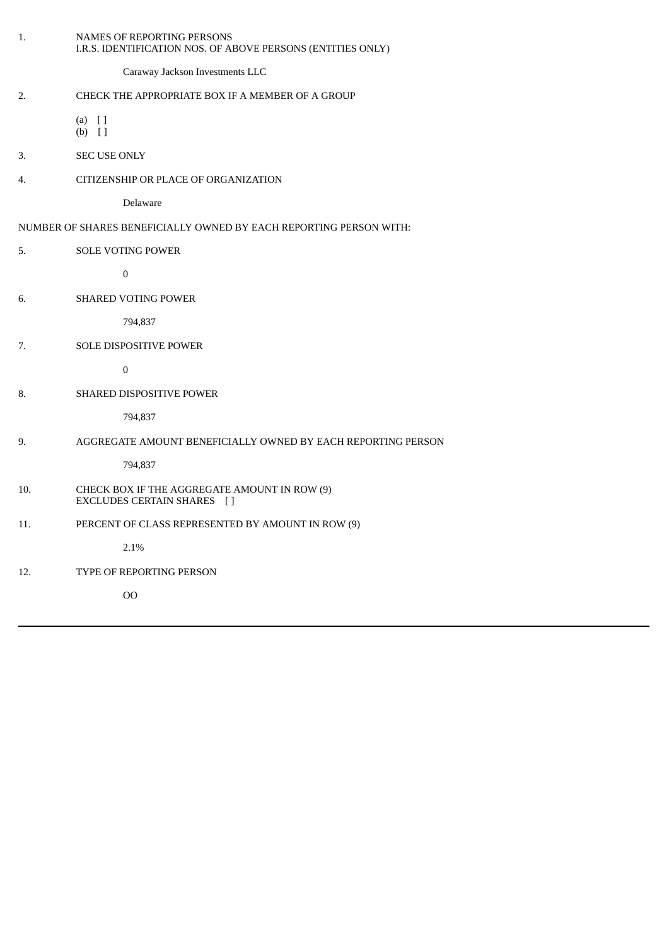| 1.  | NAMES OF REPORTING PERSONS<br>I.R.S. IDENTIFICATION NOS. OF ABOVE PERSONS (ENTITIES ONLY) |
|-----|-------------------------------------------------------------------------------------------|
|     | Caraway Jackson Investments LLC                                                           |
| 2.  | CHECK THE APPROPRIATE BOX IF A MEMBER OF A GROUP                                          |
|     | $(a)$ []<br>$(b)$ []                                                                      |
| 3.  | SEC USE ONLY                                                                              |
| 4.  | CITIZENSHIP OR PLACE OF ORGANIZATION                                                      |
|     | Delaware                                                                                  |
|     | NUMBER OF SHARES BENEFICIALLY OWNED BY EACH REPORTING PERSON WITH:                        |
| 5.  | SOLE VOTING POWER                                                                         |
|     | $\boldsymbol{0}$                                                                          |
| 6.  | <b>SHARED VOTING POWER</b>                                                                |
|     | 794,837                                                                                   |
| 7.  | SOLE DISPOSITIVE POWER                                                                    |
|     | $\pmb{0}$                                                                                 |
| 8.  | SHARED DISPOSITIVE POWER                                                                  |
|     | 794,837                                                                                   |
| 9.  | AGGREGATE AMOUNT BENEFICIALLY OWNED BY EACH REPORTING PERSON                              |
|     | 794,837                                                                                   |
| 10. | CHECK BOX IF THE AGGREGATE AMOUNT IN ROW (9)<br>EXCLUDES CERTAIN SHARES []                |
| 11. | PERCENT OF CLASS REPRESENTED BY AMOUNT IN ROW (9)                                         |
|     | 2.1%                                                                                      |
| 12. | TYPE OF REPORTING PERSON                                                                  |
|     | $00\,$                                                                                    |
|     |                                                                                           |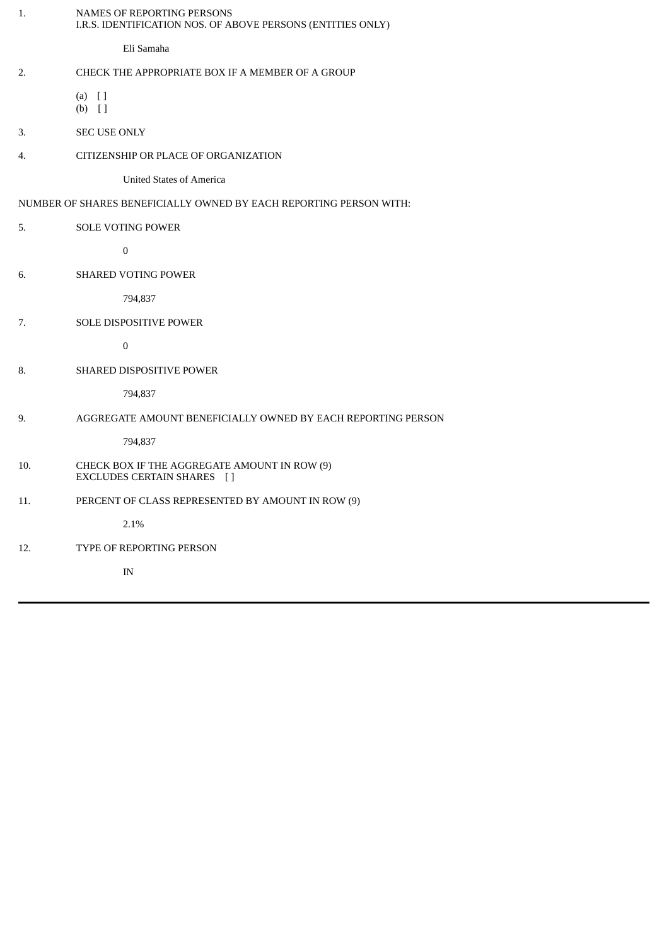| 1.  | <b>NAMES OF REPORTING PERSONS</b><br>I.R.S. IDENTIFICATION NOS. OF ABOVE PERSONS (ENTITIES ONLY) |
|-----|--------------------------------------------------------------------------------------------------|
|     | Eli Samaha                                                                                       |
| 2.  | CHECK THE APPROPRIATE BOX IF A MEMBER OF A GROUP                                                 |
|     | $(a)$ []<br>$(b)$ []                                                                             |
| 3.  | <b>SEC USE ONLY</b>                                                                              |
| 4.  | CITIZENSHIP OR PLACE OF ORGANIZATION                                                             |
|     | <b>United States of America</b>                                                                  |
|     | NUMBER OF SHARES BENEFICIALLY OWNED BY EACH REPORTING PERSON WITH:                               |
| 5.  | <b>SOLE VOTING POWER</b>                                                                         |
|     | $\boldsymbol{0}$                                                                                 |
| 6.  | SHARED VOTING POWER                                                                              |
|     | 794,837                                                                                          |
| 7.  | SOLE DISPOSITIVE POWER                                                                           |
|     | $\boldsymbol{0}$                                                                                 |
| 8.  | SHARED DISPOSITIVE POWER                                                                         |
|     | 794,837                                                                                          |
| 9.  | AGGREGATE AMOUNT BENEFICIALLY OWNED BY EACH REPORTING PERSON                                     |
|     | 794,837                                                                                          |
| 10. | CHECK BOX IF THE AGGREGATE AMOUNT IN ROW (9)<br>EXCLUDES CERTAIN SHARES [ ]                      |
| 11. | PERCENT OF CLASS REPRESENTED BY AMOUNT IN ROW (9)                                                |
|     | 2.1%                                                                                             |
| 12. | TYPE OF REPORTING PERSON                                                                         |
|     | $\ensuremath{\text{IN}}\xspace$                                                                  |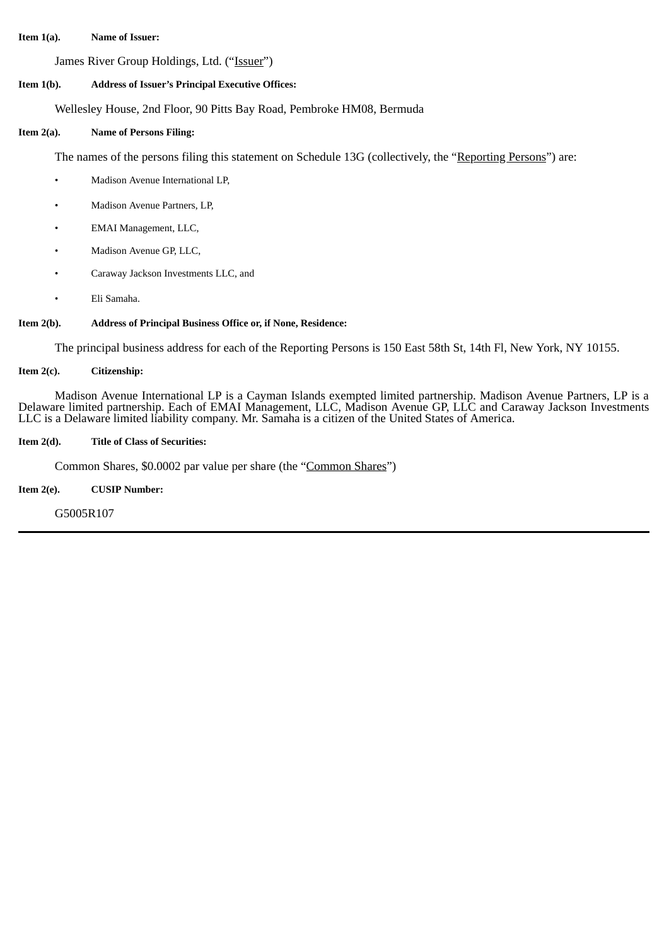#### **Item 1(a). Name of Issuer:**

James River Group Holdings, Ltd. ("Issuer")

## **Item 1(b). Address of Issuer's Principal Executive Offices:**

Wellesley House, 2nd Floor, 90 Pitts Bay Road, Pembroke HM08, Bermuda

#### **Item 2(a). Name of Persons Filing:**

The names of the persons filing this statement on Schedule 13G (collectively, the "Reporting Persons") are:

- Madison Avenue International LP,
- Madison Avenue Partners, LP,
- EMAI Management, LLC,
- Madison Avenue GP, LLC,
- Caraway Jackson Investments LLC, and
- Eli Samaha.

# **Item 2(b). Address of Principal Business Office or, if None, Residence:**

The principal business address for each of the Reporting Persons is 150 East 58th St, 14th Fl, New York, NY 10155.

# **Item 2(c). Citizenship:**

Madison Avenue International LP is a Cayman Islands exempted limited partnership. Madison Avenue Partners, LP is a Delaware limited partnership. Each of EMAI Management, LLC, Madison Avenue GP, LLC and Caraway Jackson Investments LLC is a Delaware limited liability company. Mr. Samaha is a citizen of the United States of America.

## **Item 2(d). Title of Class of Securities:**

Common Shares, \$0.0002 par value per share (the "Common Shares")

# **Item 2(e). CUSIP Number:**

G5005R107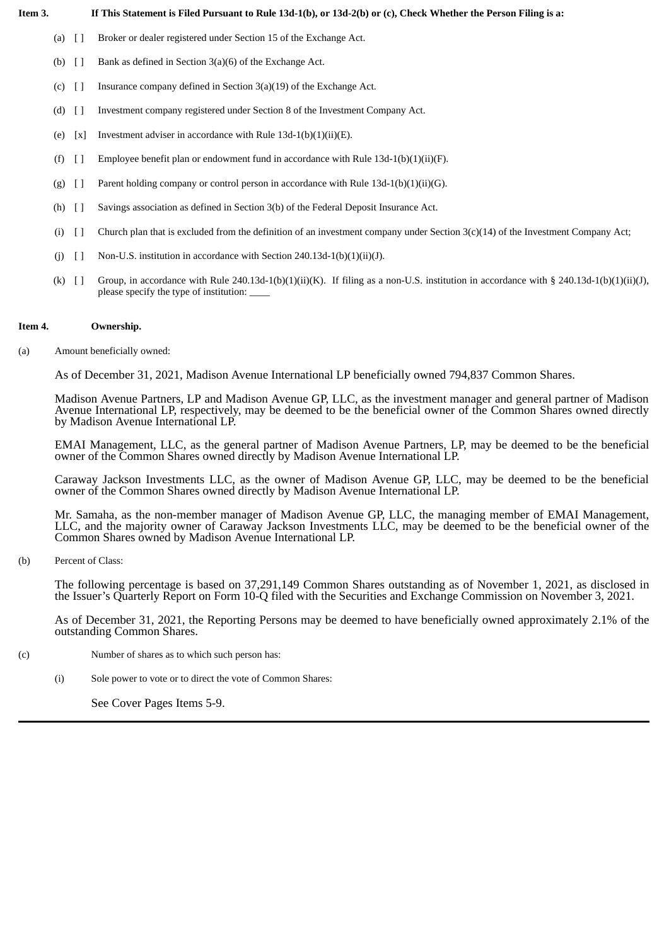# Item 3. If This Statement is Filed Pursuant to Rule 13d-1(b), or 13d-2(b) or (c), Check Whether the Person Filing is a:

- (a) [ ] Broker or dealer registered under Section 15 of the Exchange Act.
- (b)  $\begin{bmatrix} \end{bmatrix}$  Bank as defined in Section 3(a)(6) of the Exchange Act.
- (c)  $\begin{bmatrix} \end{bmatrix}$  Insurance company defined in Section 3(a)(19) of the Exchange Act.
- (d) [ ] Investment company registered under Section 8 of the Investment Company Act.
- (e)  $[x]$  Investment adviser in accordance with Rule 13d-1(b)(1)(ii)(E).
- (f)  $[$   $]$  Employee benefit plan or endowment fund in accordance with Rule 13d-1(b)(1)(ii)(F).
- (g)  $\left[ \right]$  Parent holding company or control person in accordance with Rule 13d-1(b)(1)(ii)(G).
- (h) [ ] Savings association as defined in Section 3(b) of the Federal Deposit Insurance Act.
- (i)  $\lceil \rceil$  Church plan that is excluded from the definition of an investment company under Section 3(c)(14) of the Investment Company Act;
- (j)  $[$  ] Non-U.S. institution in accordance with Section 240.13d-1(b)(1)(ii)(J).
- (k)  $\lceil \rceil$  Group, in accordance with Rule 240.13d-1(b)(1)(ii)(K). If filing as a non-U.S. institution in accordance with § 240.13d-1(b)(1)(ii)(J), please specify the type of institution:

# **Item 4. Ownership.**

# (a) Amount beneficially owned:

As of December 31, 2021, Madison Avenue International LP beneficially owned 794,837 Common Shares.

Madison Avenue Partners, LP and Madison Avenue GP, LLC, as the investment manager and general partner of Madison Avenue International LP, respectively, may be deemed to be the beneficial owner of the Common Shares owned directly by Madison Avenue International LP.

EMAI Management, LLC, as the general partner of Madison Avenue Partners, LP, may be deemed to be the beneficial owner of the Common Shares owned directly by Madison Avenue International LP.

Caraway Jackson Investments LLC, as the owner of Madison Avenue GP, LLC, may be deemed to be the beneficial owner of the Common Shares owned directly by Madison Avenue International LP.

Mr. Samaha, as the non-member manager of Madison Avenue GP, LLC, the managing member of EMAI Management, LLC, and the majority owner of Caraway Jackson Investments LLC, may be deemed to be the beneficial owner of the Common Shares owned by Madison Avenue International LP.

(b) Percent of Class:

The following percentage is based on 37,291,149 Common Shares outstanding as of November 1, 2021, as disclosed in the Issuer's Quarterly Report on Form 10-Q filed with the Securities and Exchange Commission on November 3, 2021.

As of December 31, 2021, the Reporting Persons may be deemed to have beneficially owned approximately 2.1% of the outstanding Common Shares.

- (c) Number of shares as to which such person has:
	- (i) Sole power to vote or to direct the vote of Common Shares:

See Cover Pages Items 5-9.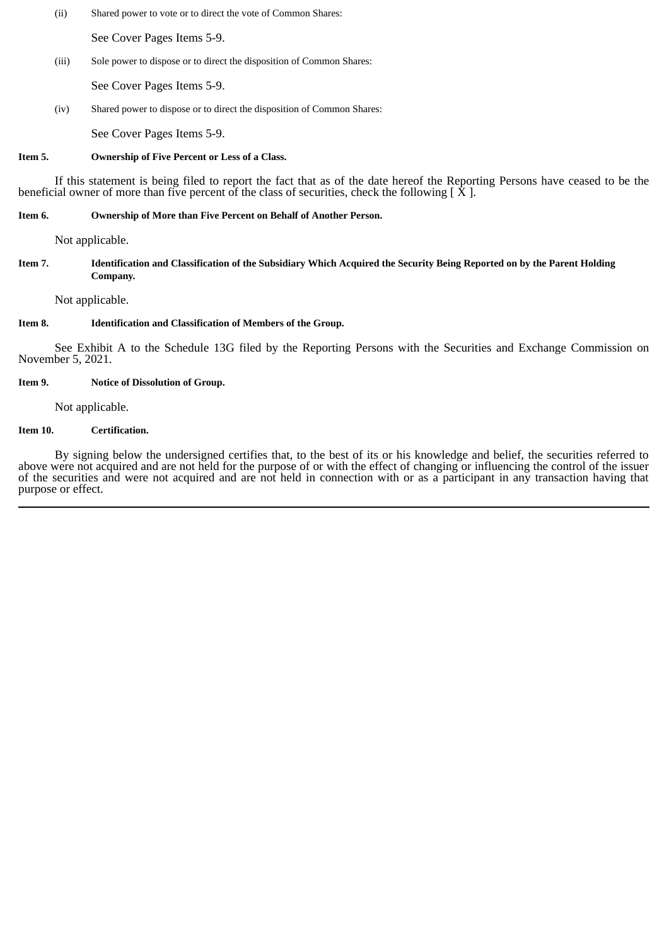(ii) Shared power to vote or to direct the vote of Common Shares:

See Cover Pages Items 5-9.

(iii) Sole power to dispose or to direct the disposition of Common Shares:

See Cover Pages Items 5-9.

(iv) Shared power to dispose or to direct the disposition of Common Shares:

See Cover Pages Items 5-9.

## **Item 5. Ownership of Five Percent or Less of a Class.**

If this statement is being filed to report the fact that as of the date hereof the Reporting Persons have ceased to be the beneficial owner of more than five percent of the class of securities, check the following  $[\dot{X}]$ .

# **Item 6. Ownership of More than Five Percent on Behalf of Another Person.**

Not applicable.

## Item 7. Identification and Classification of the Subsidiary Which Acquired the Security Being Reported on by the Parent Holding **Company.**

Not applicable.

# **Item 8. Identification and Classification of Members of the Group.**

See Exhibit A to the Schedule 13G filed by the Reporting Persons with the Securities and Exchange Commission on November 5, 2021.

# **Item 9. Notice of Dissolution of Group.**

Not applicable.

## **Item 10. Certification.**

By signing below the undersigned certifies that, to the best of its or his knowledge and belief, the securities referred to above were not acquired and are not held for the purpose of or with the effect of changing or influencing the control of the issuer of the securities and were not acquired and are not held in connection with or as a participant in any transaction having that purpose or effect.